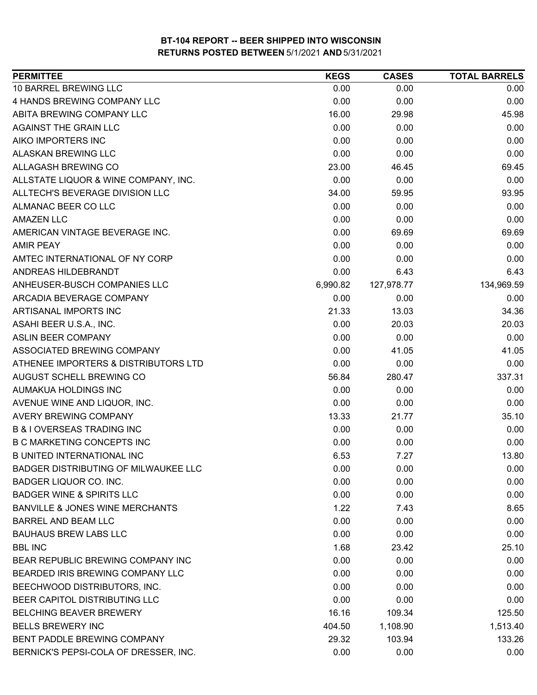| <b>PERMITTEE</b>                           | <b>KEGS</b> | <b>CASES</b> | <b>TOTAL BARRELS</b> |
|--------------------------------------------|-------------|--------------|----------------------|
| 10 BARREL BREWING LLC                      | 0.00        | 0.00         | 0.00                 |
| 4 HANDS BREWING COMPANY LLC                | 0.00        | 0.00         | 0.00                 |
| ABITA BREWING COMPANY LLC                  | 16.00       | 29.98        | 45.98                |
| <b>AGAINST THE GRAIN LLC</b>               | 0.00        | 0.00         | 0.00                 |
| AIKO IMPORTERS INC                         | 0.00        | 0.00         | 0.00                 |
| ALASKAN BREWING LLC                        | 0.00        | 0.00         | 0.00                 |
| ALLAGASH BREWING CO                        | 23.00       | 46.45        | 69.45                |
| ALLSTATE LIQUOR & WINE COMPANY, INC.       | 0.00        | 0.00         | 0.00                 |
| ALLTECH'S BEVERAGE DIVISION LLC            | 34.00       | 59.95        | 93.95                |
| ALMANAC BEER CO LLC                        | 0.00        | 0.00         | 0.00                 |
| <b>AMAZEN LLC</b>                          | 0.00        | 0.00         | 0.00                 |
| AMERICAN VINTAGE BEVERAGE INC.             | 0.00        | 69.69        | 69.69                |
| <b>AMIR PEAY</b>                           | 0.00        | 0.00         | 0.00                 |
| AMTEC INTERNATIONAL OF NY CORP             | 0.00        | 0.00         | 0.00                 |
| ANDREAS HILDEBRANDT                        | 0.00        | 6.43         | 6.43                 |
| ANHEUSER-BUSCH COMPANIES LLC               | 6,990.82    | 127,978.77   | 134,969.59           |
| ARCADIA BEVERAGE COMPANY                   | 0.00        | 0.00         | 0.00                 |
| ARTISANAL IMPORTS INC                      | 21.33       | 13.03        | 34.36                |
| ASAHI BEER U.S.A., INC.                    | 0.00        | 20.03        | 20.03                |
| <b>ASLIN BEER COMPANY</b>                  | 0.00        | 0.00         | 0.00                 |
| ASSOCIATED BREWING COMPANY                 | 0.00        | 41.05        | 41.05                |
| ATHENEE IMPORTERS & DISTRIBUTORS LTD       | 0.00        | 0.00         | 0.00                 |
| AUGUST SCHELL BREWING CO                   | 56.84       | 280.47       | 337.31               |
| AUMAKUA HOLDINGS INC                       | 0.00        | 0.00         | 0.00                 |
| AVENUE WINE AND LIQUOR, INC.               | 0.00        | 0.00         | 0.00                 |
| <b>AVERY BREWING COMPANY</b>               | 13.33       | 21.77        | 35.10                |
| <b>B &amp; I OVERSEAS TRADING INC</b>      | 0.00        | 0.00         | 0.00                 |
| <b>B C MARKETING CONCEPTS INC</b>          | 0.00        | 0.00         | 0.00                 |
| <b>B UNITED INTERNATIONAL INC</b>          | 6.53        | 7.27         | 13.80                |
| BADGER DISTRIBUTING OF MILWAUKEE LLC       | 0.00        | 0.00         | 0.00                 |
| BADGER LIQUOR CO. INC.                     | 0.00        | 0.00         | 0.00                 |
| <b>BADGER WINE &amp; SPIRITS LLC</b>       | 0.00        | 0.00         | 0.00                 |
| <b>BANVILLE &amp; JONES WINE MERCHANTS</b> | 1.22        | 7.43         | 8.65                 |
| <b>BARREL AND BEAM LLC</b>                 | 0.00        | 0.00         | 0.00                 |
| <b>BAUHAUS BREW LABS LLC</b>               | 0.00        | 0.00         | 0.00                 |
| <b>BBL INC</b>                             | 1.68        | 23.42        | 25.10                |
| BEAR REPUBLIC BREWING COMPANY INC          | 0.00        | 0.00         | 0.00                 |
| BEARDED IRIS BREWING COMPANY LLC           | 0.00        | 0.00         | 0.00                 |
| BEECHWOOD DISTRIBUTORS, INC.               | 0.00        | 0.00         | 0.00                 |
| BEER CAPITOL DISTRIBUTING LLC              | 0.00        | 0.00         | 0.00                 |
| <b>BELCHING BEAVER BREWERY</b>             | 16.16       | 109.34       | 125.50               |
| <b>BELLS BREWERY INC</b>                   | 404.50      | 1,108.90     | 1,513.40             |
| BENT PADDLE BREWING COMPANY                | 29.32       | 103.94       | 133.26               |
| BERNICK'S PEPSI-COLA OF DRESSER, INC.      | 0.00        | 0.00         | 0.00                 |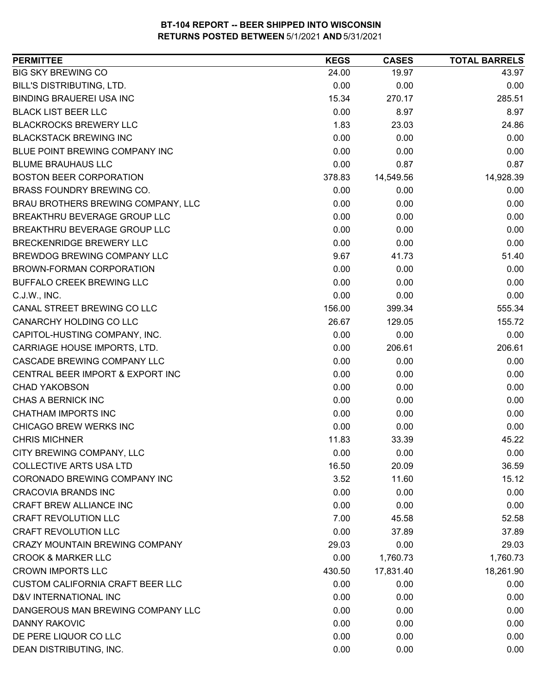| <b>PERMITTEE</b>                        | <b>KEGS</b> | <b>CASES</b> | <b>TOTAL BARRELS</b> |
|-----------------------------------------|-------------|--------------|----------------------|
| <b>BIG SKY BREWING CO</b>               | 24.00       | 19.97        | 43.97                |
| <b>BILL'S DISTRIBUTING, LTD.</b>        | 0.00        | 0.00         | 0.00                 |
| <b>BINDING BRAUEREI USA INC</b>         | 15.34       | 270.17       | 285.51               |
| <b>BLACK LIST BEER LLC</b>              | 0.00        | 8.97         | 8.97                 |
| <b>BLACKROCKS BREWERY LLC</b>           | 1.83        | 23.03        | 24.86                |
| <b>BLACKSTACK BREWING INC</b>           | 0.00        | 0.00         | 0.00                 |
| BLUE POINT BREWING COMPANY INC          | 0.00        | 0.00         | 0.00                 |
| <b>BLUME BRAUHAUS LLC</b>               | 0.00        | 0.87         | 0.87                 |
| <b>BOSTON BEER CORPORATION</b>          | 378.83      | 14,549.56    | 14,928.39            |
| BRASS FOUNDRY BREWING CO.               | 0.00        | 0.00         | 0.00                 |
| BRAU BROTHERS BREWING COMPANY, LLC      | 0.00        | 0.00         | 0.00                 |
| BREAKTHRU BEVERAGE GROUP LLC            | 0.00        | 0.00         | 0.00                 |
| BREAKTHRU BEVERAGE GROUP LLC            | 0.00        | 0.00         | 0.00                 |
| BRECKENRIDGE BREWERY LLC                | 0.00        | 0.00         | 0.00                 |
| <b>BREWDOG BREWING COMPANY LLC</b>      | 9.67        | 41.73        | 51.40                |
| <b>BROWN-FORMAN CORPORATION</b>         | 0.00        | 0.00         | 0.00                 |
| <b>BUFFALO CREEK BREWING LLC</b>        | 0.00        | 0.00         | 0.00                 |
| C.J.W., INC.                            | 0.00        | 0.00         | 0.00                 |
| CANAL STREET BREWING CO LLC             | 156.00      | 399.34       | 555.34               |
| CANARCHY HOLDING CO LLC                 | 26.67       | 129.05       | 155.72               |
| CAPITOL-HUSTING COMPANY, INC.           | 0.00        | 0.00         | 0.00                 |
| CARRIAGE HOUSE IMPORTS, LTD.            | 0.00        | 206.61       | 206.61               |
| CASCADE BREWING COMPANY LLC             | 0.00        | 0.00         | 0.00                 |
| CENTRAL BEER IMPORT & EXPORT INC        | 0.00        | 0.00         | 0.00                 |
| <b>CHAD YAKOBSON</b>                    | 0.00        | 0.00         | 0.00                 |
| CHAS A BERNICK INC                      | 0.00        | 0.00         | 0.00                 |
| <b>CHATHAM IMPORTS INC</b>              | 0.00        | 0.00         | 0.00                 |
| CHICAGO BREW WERKS INC                  | 0.00        | 0.00         | 0.00                 |
| <b>CHRIS MICHNER</b>                    | 11.83       | 33.39        | 45.22                |
| CITY BREWING COMPANY, LLC               | 0.00        | 0.00         | 0.00                 |
| <b>COLLECTIVE ARTS USA LTD</b>          | 16.50       | 20.09        | 36.59                |
| CORONADO BREWING COMPANY INC            | 3.52        | 11.60        | 15.12                |
| <b>CRACOVIA BRANDS INC</b>              | 0.00        | 0.00         | 0.00                 |
| CRAFT BREW ALLIANCE INC                 | 0.00        | 0.00         | 0.00                 |
| <b>CRAFT REVOLUTION LLC</b>             | 7.00        | 45.58        | 52.58                |
| <b>CRAFT REVOLUTION LLC</b>             | 0.00        | 37.89        | 37.89                |
| <b>CRAZY MOUNTAIN BREWING COMPANY</b>   | 29.03       | 0.00         | 29.03                |
| <b>CROOK &amp; MARKER LLC</b>           | 0.00        | 1,760.73     | 1,760.73             |
| <b>CROWN IMPORTS LLC</b>                | 430.50      | 17,831.40    | 18,261.90            |
| <b>CUSTOM CALIFORNIA CRAFT BEER LLC</b> | 0.00        | 0.00         | 0.00                 |
| D&V INTERNATIONAL INC                   | 0.00        | 0.00         | 0.00                 |
| DANGEROUS MAN BREWING COMPANY LLC       | 0.00        | 0.00         | 0.00                 |
| <b>DANNY RAKOVIC</b>                    | 0.00        | 0.00         | 0.00                 |
| DE PERE LIQUOR CO LLC                   | 0.00        | 0.00         | 0.00                 |
| DEAN DISTRIBUTING, INC.                 | 0.00        | 0.00         | 0.00                 |
|                                         |             |              |                      |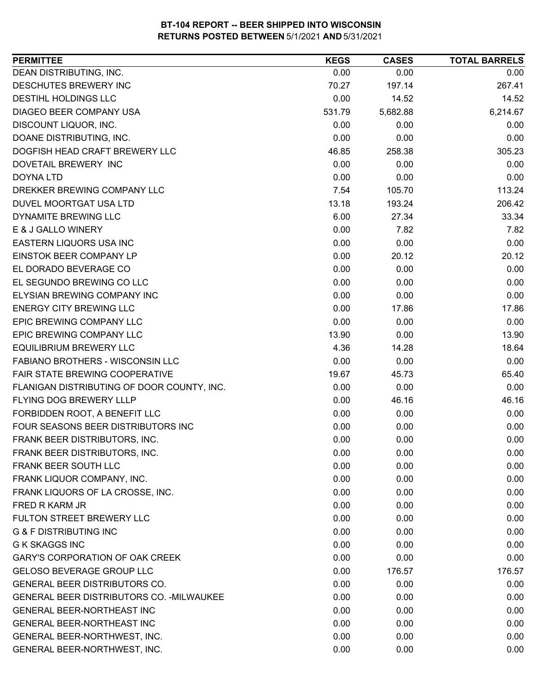| 0.00<br>0.00<br>0.00<br>267.41<br>70.27<br>197.14<br>0.00<br>14.52<br>14.52<br>6,214.67<br>531.79<br>5,682.88<br>0.00<br>0.00<br>0.00<br>0.00<br>0.00<br>0.00<br>258.38<br>305.23<br>46.85<br>0.00<br>0.00<br>0.00<br>0.00<br>0.00<br>0.00<br>7.54<br>113.24<br>105.70<br>206.42<br>13.18<br>193.24<br>33.34<br>6.00<br>27.34<br>0.00<br>7.82<br>7.82<br>0.00<br>0.00<br>0.00<br>0.00<br>20.12<br>20.12<br>0.00<br>0.00<br>0.00<br>0.00<br>0.00<br>0.00<br>0.00<br>0.00<br>0.00<br>0.00<br>17.86<br>17.86<br>0.00<br>0.00<br>0.00<br>13.90<br>0.00<br>13.90<br>4.36<br>18.64<br>14.28<br>0.00<br>0.00<br>0.00<br>65.40<br>19.67<br>45.73<br>0.00<br>0.00<br>0.00<br>46.16<br>0.00<br>46.16<br>0.00<br>0.00<br>0.00<br>0.00<br>0.00<br>0.00<br>0.00<br>0.00<br>0.00<br>0.00<br>0.00<br>0.00<br>0.00<br>0.00<br>0.00<br>0.00<br>0.00<br>0.00<br>0.00<br>0.00<br>0.00<br>0.00<br>0.00<br>0.00<br>0.00<br>0.00<br>0.00<br>0.00<br>0.00<br>0.00<br>0.00<br>0.00<br>0.00<br>0.00<br>0.00<br>0.00<br>0.00<br>176.57<br>176.57<br>0.00<br>0.00<br>0.00<br>0.00<br>0.00<br>0.00<br>0.00<br>0.00<br>0.00<br>0.00<br>0.00<br>0.00<br>0.00<br>0.00<br>0.00 | <b>PERMITTEE</b>                           | <b>KEGS</b> | <b>CASES</b> | <b>TOTAL BARRELS</b> |
|------------------------------------------------------------------------------------------------------------------------------------------------------------------------------------------------------------------------------------------------------------------------------------------------------------------------------------------------------------------------------------------------------------------------------------------------------------------------------------------------------------------------------------------------------------------------------------------------------------------------------------------------------------------------------------------------------------------------------------------------------------------------------------------------------------------------------------------------------------------------------------------------------------------------------------------------------------------------------------------------------------------------------------------------------------------------------------------------------------------------------------------------|--------------------------------------------|-------------|--------------|----------------------|
|                                                                                                                                                                                                                                                                                                                                                                                                                                                                                                                                                                                                                                                                                                                                                                                                                                                                                                                                                                                                                                                                                                                                                | DEAN DISTRIBUTING, INC.                    |             |              |                      |
|                                                                                                                                                                                                                                                                                                                                                                                                                                                                                                                                                                                                                                                                                                                                                                                                                                                                                                                                                                                                                                                                                                                                                | DESCHUTES BREWERY INC                      |             |              |                      |
|                                                                                                                                                                                                                                                                                                                                                                                                                                                                                                                                                                                                                                                                                                                                                                                                                                                                                                                                                                                                                                                                                                                                                | <b>DESTIHL HOLDINGS LLC</b>                |             |              |                      |
|                                                                                                                                                                                                                                                                                                                                                                                                                                                                                                                                                                                                                                                                                                                                                                                                                                                                                                                                                                                                                                                                                                                                                | DIAGEO BEER COMPANY USA                    |             |              |                      |
|                                                                                                                                                                                                                                                                                                                                                                                                                                                                                                                                                                                                                                                                                                                                                                                                                                                                                                                                                                                                                                                                                                                                                | DISCOUNT LIQUOR, INC.                      |             |              |                      |
|                                                                                                                                                                                                                                                                                                                                                                                                                                                                                                                                                                                                                                                                                                                                                                                                                                                                                                                                                                                                                                                                                                                                                | DOANE DISTRIBUTING, INC.                   |             |              |                      |
|                                                                                                                                                                                                                                                                                                                                                                                                                                                                                                                                                                                                                                                                                                                                                                                                                                                                                                                                                                                                                                                                                                                                                | DOGFISH HEAD CRAFT BREWERY LLC             |             |              |                      |
|                                                                                                                                                                                                                                                                                                                                                                                                                                                                                                                                                                                                                                                                                                                                                                                                                                                                                                                                                                                                                                                                                                                                                | DOVETAIL BREWERY INC                       |             |              |                      |
|                                                                                                                                                                                                                                                                                                                                                                                                                                                                                                                                                                                                                                                                                                                                                                                                                                                                                                                                                                                                                                                                                                                                                | <b>DOYNA LTD</b>                           |             |              |                      |
|                                                                                                                                                                                                                                                                                                                                                                                                                                                                                                                                                                                                                                                                                                                                                                                                                                                                                                                                                                                                                                                                                                                                                | DREKKER BREWING COMPANY LLC                |             |              |                      |
|                                                                                                                                                                                                                                                                                                                                                                                                                                                                                                                                                                                                                                                                                                                                                                                                                                                                                                                                                                                                                                                                                                                                                | DUVEL MOORTGAT USA LTD                     |             |              |                      |
|                                                                                                                                                                                                                                                                                                                                                                                                                                                                                                                                                                                                                                                                                                                                                                                                                                                                                                                                                                                                                                                                                                                                                | DYNAMITE BREWING LLC                       |             |              |                      |
|                                                                                                                                                                                                                                                                                                                                                                                                                                                                                                                                                                                                                                                                                                                                                                                                                                                                                                                                                                                                                                                                                                                                                | E & J GALLO WINERY                         |             |              |                      |
|                                                                                                                                                                                                                                                                                                                                                                                                                                                                                                                                                                                                                                                                                                                                                                                                                                                                                                                                                                                                                                                                                                                                                | EASTERN LIQUORS USA INC                    |             |              |                      |
|                                                                                                                                                                                                                                                                                                                                                                                                                                                                                                                                                                                                                                                                                                                                                                                                                                                                                                                                                                                                                                                                                                                                                | <b>EINSTOK BEER COMPANY LP</b>             |             |              |                      |
|                                                                                                                                                                                                                                                                                                                                                                                                                                                                                                                                                                                                                                                                                                                                                                                                                                                                                                                                                                                                                                                                                                                                                | EL DORADO BEVERAGE CO                      |             |              |                      |
|                                                                                                                                                                                                                                                                                                                                                                                                                                                                                                                                                                                                                                                                                                                                                                                                                                                                                                                                                                                                                                                                                                                                                | EL SEGUNDO BREWING CO LLC                  |             |              |                      |
|                                                                                                                                                                                                                                                                                                                                                                                                                                                                                                                                                                                                                                                                                                                                                                                                                                                                                                                                                                                                                                                                                                                                                | ELYSIAN BREWING COMPANY INC                |             |              |                      |
|                                                                                                                                                                                                                                                                                                                                                                                                                                                                                                                                                                                                                                                                                                                                                                                                                                                                                                                                                                                                                                                                                                                                                | <b>ENERGY CITY BREWING LLC</b>             |             |              |                      |
|                                                                                                                                                                                                                                                                                                                                                                                                                                                                                                                                                                                                                                                                                                                                                                                                                                                                                                                                                                                                                                                                                                                                                | EPIC BREWING COMPANY LLC                   |             |              |                      |
|                                                                                                                                                                                                                                                                                                                                                                                                                                                                                                                                                                                                                                                                                                                                                                                                                                                                                                                                                                                                                                                                                                                                                | EPIC BREWING COMPANY LLC                   |             |              |                      |
|                                                                                                                                                                                                                                                                                                                                                                                                                                                                                                                                                                                                                                                                                                                                                                                                                                                                                                                                                                                                                                                                                                                                                | <b>EQUILIBRIUM BREWERY LLC</b>             |             |              |                      |
|                                                                                                                                                                                                                                                                                                                                                                                                                                                                                                                                                                                                                                                                                                                                                                                                                                                                                                                                                                                                                                                                                                                                                | FABIANO BROTHERS - WISCONSIN LLC           |             |              |                      |
|                                                                                                                                                                                                                                                                                                                                                                                                                                                                                                                                                                                                                                                                                                                                                                                                                                                                                                                                                                                                                                                                                                                                                | FAIR STATE BREWING COOPERATIVE             |             |              |                      |
|                                                                                                                                                                                                                                                                                                                                                                                                                                                                                                                                                                                                                                                                                                                                                                                                                                                                                                                                                                                                                                                                                                                                                | FLANIGAN DISTRIBUTING OF DOOR COUNTY, INC. |             |              |                      |
|                                                                                                                                                                                                                                                                                                                                                                                                                                                                                                                                                                                                                                                                                                                                                                                                                                                                                                                                                                                                                                                                                                                                                | FLYING DOG BREWERY LLLP                    |             |              |                      |
|                                                                                                                                                                                                                                                                                                                                                                                                                                                                                                                                                                                                                                                                                                                                                                                                                                                                                                                                                                                                                                                                                                                                                | FORBIDDEN ROOT, A BENEFIT LLC              |             |              |                      |
|                                                                                                                                                                                                                                                                                                                                                                                                                                                                                                                                                                                                                                                                                                                                                                                                                                                                                                                                                                                                                                                                                                                                                | FOUR SEASONS BEER DISTRIBUTORS INC         |             |              |                      |
|                                                                                                                                                                                                                                                                                                                                                                                                                                                                                                                                                                                                                                                                                                                                                                                                                                                                                                                                                                                                                                                                                                                                                | FRANK BEER DISTRIBUTORS, INC.              |             |              |                      |
|                                                                                                                                                                                                                                                                                                                                                                                                                                                                                                                                                                                                                                                                                                                                                                                                                                                                                                                                                                                                                                                                                                                                                | FRANK BEER DISTRIBUTORS, INC.              |             |              |                      |
|                                                                                                                                                                                                                                                                                                                                                                                                                                                                                                                                                                                                                                                                                                                                                                                                                                                                                                                                                                                                                                                                                                                                                | FRANK BEER SOUTH LLC                       |             |              |                      |
|                                                                                                                                                                                                                                                                                                                                                                                                                                                                                                                                                                                                                                                                                                                                                                                                                                                                                                                                                                                                                                                                                                                                                | FRANK LIQUOR COMPANY, INC.                 |             |              |                      |
|                                                                                                                                                                                                                                                                                                                                                                                                                                                                                                                                                                                                                                                                                                                                                                                                                                                                                                                                                                                                                                                                                                                                                | FRANK LIQUORS OF LA CROSSE, INC.           |             |              |                      |
|                                                                                                                                                                                                                                                                                                                                                                                                                                                                                                                                                                                                                                                                                                                                                                                                                                                                                                                                                                                                                                                                                                                                                | <b>FRED R KARM JR</b>                      |             |              |                      |
|                                                                                                                                                                                                                                                                                                                                                                                                                                                                                                                                                                                                                                                                                                                                                                                                                                                                                                                                                                                                                                                                                                                                                | FULTON STREET BREWERY LLC                  |             |              |                      |
|                                                                                                                                                                                                                                                                                                                                                                                                                                                                                                                                                                                                                                                                                                                                                                                                                                                                                                                                                                                                                                                                                                                                                | <b>G &amp; F DISTRIBUTING INC</b>          |             |              |                      |
|                                                                                                                                                                                                                                                                                                                                                                                                                                                                                                                                                                                                                                                                                                                                                                                                                                                                                                                                                                                                                                                                                                                                                | <b>G K SKAGGS INC</b>                      |             |              |                      |
|                                                                                                                                                                                                                                                                                                                                                                                                                                                                                                                                                                                                                                                                                                                                                                                                                                                                                                                                                                                                                                                                                                                                                | GARY'S CORPORATION OF OAK CREEK            |             |              |                      |
|                                                                                                                                                                                                                                                                                                                                                                                                                                                                                                                                                                                                                                                                                                                                                                                                                                                                                                                                                                                                                                                                                                                                                | <b>GELOSO BEVERAGE GROUP LLC</b>           |             |              |                      |
|                                                                                                                                                                                                                                                                                                                                                                                                                                                                                                                                                                                                                                                                                                                                                                                                                                                                                                                                                                                                                                                                                                                                                | GENERAL BEER DISTRIBUTORS CO.              |             |              |                      |
|                                                                                                                                                                                                                                                                                                                                                                                                                                                                                                                                                                                                                                                                                                                                                                                                                                                                                                                                                                                                                                                                                                                                                | GENERAL BEER DISTRIBUTORS CO. - MILWAUKEE  |             |              |                      |
|                                                                                                                                                                                                                                                                                                                                                                                                                                                                                                                                                                                                                                                                                                                                                                                                                                                                                                                                                                                                                                                                                                                                                | <b>GENERAL BEER-NORTHEAST INC</b>          |             |              |                      |
|                                                                                                                                                                                                                                                                                                                                                                                                                                                                                                                                                                                                                                                                                                                                                                                                                                                                                                                                                                                                                                                                                                                                                | GENERAL BEER-NORTHEAST INC                 |             |              |                      |
|                                                                                                                                                                                                                                                                                                                                                                                                                                                                                                                                                                                                                                                                                                                                                                                                                                                                                                                                                                                                                                                                                                                                                | GENERAL BEER-NORTHWEST, INC.               |             |              |                      |
|                                                                                                                                                                                                                                                                                                                                                                                                                                                                                                                                                                                                                                                                                                                                                                                                                                                                                                                                                                                                                                                                                                                                                | GENERAL BEER-NORTHWEST, INC.               | 0.00        | 0.00         | 0.00                 |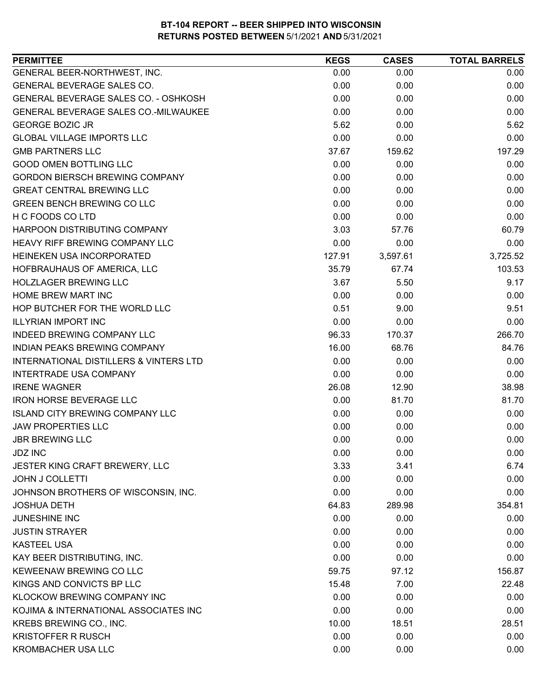| 0.00<br>0.00<br>0.00<br>0.00<br>0.00<br>0.00<br>0.00<br>0.00<br>0.00<br>0.00<br>0.00<br>0.00<br>5.62<br>5.62<br>0.00<br>0.00<br>0.00<br>0.00<br>159.62<br>197.29<br>37.67<br>0.00<br>0.00<br>0.00<br>0.00<br>0.00<br>0.00<br>0.00<br>0.00<br>0.00<br>0.00<br>0.00<br>0.00<br>0.00<br>0.00<br>0.00<br>3.03<br>60.79<br>57.76<br>0.00<br>0.00<br>0.00<br>3,725.52<br>127.91<br>3,597.61<br>35.79<br>67.74<br>103.53<br>3.67<br>9.17<br>5.50<br>0.00<br>0.00<br>0.00<br>0.51<br>9.51<br>9.00<br>0.00<br>0.00<br>0.00<br>266.70<br>96.33<br>170.37<br>16.00<br>68.76<br>84.76<br>0.00<br>0.00<br>0.00<br>0.00<br>0.00<br>0.00<br>26.08<br>38.98<br>12.90<br>0.00<br>81.70<br>81.70<br>0.00<br>0.00<br>0.00<br>0.00<br>0.00<br>0.00<br>0.00<br><b>JBR BREWING LLC</b><br>0.00<br>0.00<br>0.00<br>0.00<br>0.00<br>3.33<br>3.41<br>6.74<br>0.00<br>0.00<br>0.00<br>0.00<br>0.00<br>0.00<br>354.81<br>64.83<br>289.98<br>0.00<br>0.00<br>0.00<br>0.00<br>0.00<br>0.00<br>0.00<br>0.00<br>0.00<br>0.00<br>0.00<br>0.00<br>59.75<br>156.87<br>97.12<br>15.48<br>7.00<br>22.48<br>0.00<br>0.00<br>0.00 | <b>PERMITTEE</b>                                  | <b>KEGS</b> | <b>CASES</b> | <b>TOTAL BARRELS</b> |
|---------------------------------------------------------------------------------------------------------------------------------------------------------------------------------------------------------------------------------------------------------------------------------------------------------------------------------------------------------------------------------------------------------------------------------------------------------------------------------------------------------------------------------------------------------------------------------------------------------------------------------------------------------------------------------------------------------------------------------------------------------------------------------------------------------------------------------------------------------------------------------------------------------------------------------------------------------------------------------------------------------------------------------------------------------------------------------------------|---------------------------------------------------|-------------|--------------|----------------------|
|                                                                                                                                                                                                                                                                                                                                                                                                                                                                                                                                                                                                                                                                                                                                                                                                                                                                                                                                                                                                                                                                                             | GENERAL BEER-NORTHWEST, INC.                      |             |              |                      |
|                                                                                                                                                                                                                                                                                                                                                                                                                                                                                                                                                                                                                                                                                                                                                                                                                                                                                                                                                                                                                                                                                             | <b>GENERAL BEVERAGE SALES CO.</b>                 |             |              |                      |
|                                                                                                                                                                                                                                                                                                                                                                                                                                                                                                                                                                                                                                                                                                                                                                                                                                                                                                                                                                                                                                                                                             | GENERAL BEVERAGE SALES CO. - OSHKOSH              |             |              |                      |
|                                                                                                                                                                                                                                                                                                                                                                                                                                                                                                                                                                                                                                                                                                                                                                                                                                                                                                                                                                                                                                                                                             | GENERAL BEVERAGE SALES CO.-MILWAUKEE              |             |              |                      |
|                                                                                                                                                                                                                                                                                                                                                                                                                                                                                                                                                                                                                                                                                                                                                                                                                                                                                                                                                                                                                                                                                             | <b>GEORGE BOZIC JR</b>                            |             |              |                      |
|                                                                                                                                                                                                                                                                                                                                                                                                                                                                                                                                                                                                                                                                                                                                                                                                                                                                                                                                                                                                                                                                                             | <b>GLOBAL VILLAGE IMPORTS LLC</b>                 |             |              |                      |
|                                                                                                                                                                                                                                                                                                                                                                                                                                                                                                                                                                                                                                                                                                                                                                                                                                                                                                                                                                                                                                                                                             | <b>GMB PARTNERS LLC</b>                           |             |              |                      |
|                                                                                                                                                                                                                                                                                                                                                                                                                                                                                                                                                                                                                                                                                                                                                                                                                                                                                                                                                                                                                                                                                             | <b>GOOD OMEN BOTTLING LLC</b>                     |             |              |                      |
|                                                                                                                                                                                                                                                                                                                                                                                                                                                                                                                                                                                                                                                                                                                                                                                                                                                                                                                                                                                                                                                                                             | <b>GORDON BIERSCH BREWING COMPANY</b>             |             |              |                      |
|                                                                                                                                                                                                                                                                                                                                                                                                                                                                                                                                                                                                                                                                                                                                                                                                                                                                                                                                                                                                                                                                                             | <b>GREAT CENTRAL BREWING LLC</b>                  |             |              |                      |
|                                                                                                                                                                                                                                                                                                                                                                                                                                                                                                                                                                                                                                                                                                                                                                                                                                                                                                                                                                                                                                                                                             | <b>GREEN BENCH BREWING CO LLC</b>                 |             |              |                      |
|                                                                                                                                                                                                                                                                                                                                                                                                                                                                                                                                                                                                                                                                                                                                                                                                                                                                                                                                                                                                                                                                                             | H C FOODS CO LTD                                  |             |              |                      |
|                                                                                                                                                                                                                                                                                                                                                                                                                                                                                                                                                                                                                                                                                                                                                                                                                                                                                                                                                                                                                                                                                             | HARPOON DISTRIBUTING COMPANY                      |             |              |                      |
|                                                                                                                                                                                                                                                                                                                                                                                                                                                                                                                                                                                                                                                                                                                                                                                                                                                                                                                                                                                                                                                                                             | <b>HEAVY RIFF BREWING COMPANY LLC</b>             |             |              |                      |
|                                                                                                                                                                                                                                                                                                                                                                                                                                                                                                                                                                                                                                                                                                                                                                                                                                                                                                                                                                                                                                                                                             | HEINEKEN USA INCORPORATED                         |             |              |                      |
|                                                                                                                                                                                                                                                                                                                                                                                                                                                                                                                                                                                                                                                                                                                                                                                                                                                                                                                                                                                                                                                                                             | HOFBRAUHAUS OF AMERICA, LLC                       |             |              |                      |
|                                                                                                                                                                                                                                                                                                                                                                                                                                                                                                                                                                                                                                                                                                                                                                                                                                                                                                                                                                                                                                                                                             | <b>HOLZLAGER BREWING LLC</b>                      |             |              |                      |
|                                                                                                                                                                                                                                                                                                                                                                                                                                                                                                                                                                                                                                                                                                                                                                                                                                                                                                                                                                                                                                                                                             | HOME BREW MART INC                                |             |              |                      |
|                                                                                                                                                                                                                                                                                                                                                                                                                                                                                                                                                                                                                                                                                                                                                                                                                                                                                                                                                                                                                                                                                             | HOP BUTCHER FOR THE WORLD LLC                     |             |              |                      |
|                                                                                                                                                                                                                                                                                                                                                                                                                                                                                                                                                                                                                                                                                                                                                                                                                                                                                                                                                                                                                                                                                             | <b>ILLYRIAN IMPORT INC</b>                        |             |              |                      |
|                                                                                                                                                                                                                                                                                                                                                                                                                                                                                                                                                                                                                                                                                                                                                                                                                                                                                                                                                                                                                                                                                             | <b>INDEED BREWING COMPANY LLC</b>                 |             |              |                      |
|                                                                                                                                                                                                                                                                                                                                                                                                                                                                                                                                                                                                                                                                                                                                                                                                                                                                                                                                                                                                                                                                                             | INDIAN PEAKS BREWING COMPANY                      |             |              |                      |
|                                                                                                                                                                                                                                                                                                                                                                                                                                                                                                                                                                                                                                                                                                                                                                                                                                                                                                                                                                                                                                                                                             | <b>INTERNATIONAL DISTILLERS &amp; VINTERS LTD</b> |             |              |                      |
|                                                                                                                                                                                                                                                                                                                                                                                                                                                                                                                                                                                                                                                                                                                                                                                                                                                                                                                                                                                                                                                                                             | <b>INTERTRADE USA COMPANY</b>                     |             |              |                      |
|                                                                                                                                                                                                                                                                                                                                                                                                                                                                                                                                                                                                                                                                                                                                                                                                                                                                                                                                                                                                                                                                                             | <b>IRENE WAGNER</b>                               |             |              |                      |
|                                                                                                                                                                                                                                                                                                                                                                                                                                                                                                                                                                                                                                                                                                                                                                                                                                                                                                                                                                                                                                                                                             | <b>IRON HORSE BEVERAGE LLC</b>                    |             |              |                      |
|                                                                                                                                                                                                                                                                                                                                                                                                                                                                                                                                                                                                                                                                                                                                                                                                                                                                                                                                                                                                                                                                                             | <b>ISLAND CITY BREWING COMPANY LLC</b>            |             |              |                      |
|                                                                                                                                                                                                                                                                                                                                                                                                                                                                                                                                                                                                                                                                                                                                                                                                                                                                                                                                                                                                                                                                                             | <b>JAW PROPERTIES LLC</b>                         |             |              |                      |
|                                                                                                                                                                                                                                                                                                                                                                                                                                                                                                                                                                                                                                                                                                                                                                                                                                                                                                                                                                                                                                                                                             |                                                   |             |              |                      |
|                                                                                                                                                                                                                                                                                                                                                                                                                                                                                                                                                                                                                                                                                                                                                                                                                                                                                                                                                                                                                                                                                             | <b>JDZ INC</b>                                    |             |              |                      |
|                                                                                                                                                                                                                                                                                                                                                                                                                                                                                                                                                                                                                                                                                                                                                                                                                                                                                                                                                                                                                                                                                             | JESTER KING CRAFT BREWERY, LLC                    |             |              |                      |
|                                                                                                                                                                                                                                                                                                                                                                                                                                                                                                                                                                                                                                                                                                                                                                                                                                                                                                                                                                                                                                                                                             | <b>JOHN J COLLETTI</b>                            |             |              |                      |
|                                                                                                                                                                                                                                                                                                                                                                                                                                                                                                                                                                                                                                                                                                                                                                                                                                                                                                                                                                                                                                                                                             | JOHNSON BROTHERS OF WISCONSIN, INC.               |             |              |                      |
|                                                                                                                                                                                                                                                                                                                                                                                                                                                                                                                                                                                                                                                                                                                                                                                                                                                                                                                                                                                                                                                                                             | <b>JOSHUA DETH</b>                                |             |              |                      |
|                                                                                                                                                                                                                                                                                                                                                                                                                                                                                                                                                                                                                                                                                                                                                                                                                                                                                                                                                                                                                                                                                             | <b>JUNESHINE INC</b>                              |             |              |                      |
|                                                                                                                                                                                                                                                                                                                                                                                                                                                                                                                                                                                                                                                                                                                                                                                                                                                                                                                                                                                                                                                                                             | <b>JUSTIN STRAYER</b>                             |             |              |                      |
|                                                                                                                                                                                                                                                                                                                                                                                                                                                                                                                                                                                                                                                                                                                                                                                                                                                                                                                                                                                                                                                                                             | <b>KASTEEL USA</b>                                |             |              |                      |
|                                                                                                                                                                                                                                                                                                                                                                                                                                                                                                                                                                                                                                                                                                                                                                                                                                                                                                                                                                                                                                                                                             | KAY BEER DISTRIBUTING, INC.                       |             |              |                      |
|                                                                                                                                                                                                                                                                                                                                                                                                                                                                                                                                                                                                                                                                                                                                                                                                                                                                                                                                                                                                                                                                                             | KEWEENAW BREWING CO LLC                           |             |              |                      |
|                                                                                                                                                                                                                                                                                                                                                                                                                                                                                                                                                                                                                                                                                                                                                                                                                                                                                                                                                                                                                                                                                             | KINGS AND CONVICTS BP LLC                         |             |              |                      |
|                                                                                                                                                                                                                                                                                                                                                                                                                                                                                                                                                                                                                                                                                                                                                                                                                                                                                                                                                                                                                                                                                             | KLOCKOW BREWING COMPANY INC                       |             |              |                      |
| 0.00<br>0.00<br>0.00                                                                                                                                                                                                                                                                                                                                                                                                                                                                                                                                                                                                                                                                                                                                                                                                                                                                                                                                                                                                                                                                        | KOJIMA & INTERNATIONAL ASSOCIATES INC             |             |              |                      |
| 10.00<br>18.51<br>28.51                                                                                                                                                                                                                                                                                                                                                                                                                                                                                                                                                                                                                                                                                                                                                                                                                                                                                                                                                                                                                                                                     | KREBS BREWING CO., INC.                           |             |              |                      |
| 0.00<br>0.00<br>0.00                                                                                                                                                                                                                                                                                                                                                                                                                                                                                                                                                                                                                                                                                                                                                                                                                                                                                                                                                                                                                                                                        | <b>KRISTOFFER R RUSCH</b>                         |             |              |                      |
| <b>KROMBACHER USA LLC</b><br>0.00<br>0.00<br>0.00                                                                                                                                                                                                                                                                                                                                                                                                                                                                                                                                                                                                                                                                                                                                                                                                                                                                                                                                                                                                                                           |                                                   |             |              |                      |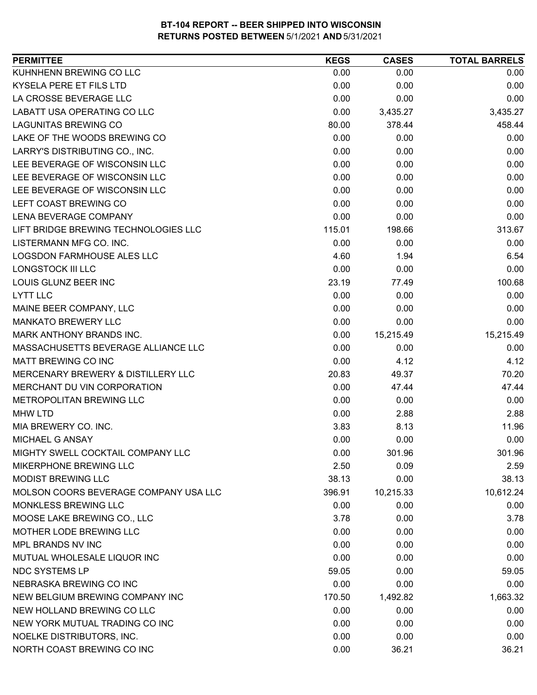| <b>PERMITTEE</b>                      | <b>KEGS</b> | <b>CASES</b> | <b>TOTAL BARRELS</b> |
|---------------------------------------|-------------|--------------|----------------------|
| KUHNHENN BREWING CO LLC               | 0.00        | 0.00         | 0.00                 |
| <b>KYSELA PERE ET FILS LTD</b>        | 0.00        | 0.00         | 0.00                 |
| LA CROSSE BEVERAGE LLC                | 0.00        | 0.00         | 0.00                 |
| <b>LABATT USA OPERATING CO LLC</b>    | 0.00        | 3,435.27     | 3,435.27             |
| <b>LAGUNITAS BREWING CO</b>           | 80.00       | 378.44       | 458.44               |
| LAKE OF THE WOODS BREWING CO          | 0.00        | 0.00         | 0.00                 |
| LARRY'S DISTRIBUTING CO., INC.        | 0.00        | 0.00         | 0.00                 |
| LEE BEVERAGE OF WISCONSIN LLC         | 0.00        | 0.00         | 0.00                 |
| LEE BEVERAGE OF WISCONSIN LLC         | 0.00        | 0.00         | 0.00                 |
| LEE BEVERAGE OF WISCONSIN LLC         | 0.00        | 0.00         | 0.00                 |
| LEFT COAST BREWING CO                 | 0.00        | 0.00         | 0.00                 |
| LENA BEVERAGE COMPANY                 | 0.00        | 0.00         | 0.00                 |
| LIFT BRIDGE BREWING TECHNOLOGIES LLC  | 115.01      | 198.66       | 313.67               |
| LISTERMANN MFG CO. INC.               | 0.00        | 0.00         | 0.00                 |
| LOGSDON FARMHOUSE ALES LLC            | 4.60        | 1.94         | 6.54                 |
| <b>LONGSTOCK III LLC</b>              | 0.00        | 0.00         | 0.00                 |
| LOUIS GLUNZ BEER INC                  | 23.19       | 77.49        | 100.68               |
| <b>LYTT LLC</b>                       | 0.00        | 0.00         | 0.00                 |
| MAINE BEER COMPANY, LLC               | 0.00        | 0.00         | 0.00                 |
| <b>MANKATO BREWERY LLC</b>            | 0.00        | 0.00         | 0.00                 |
| MARK ANTHONY BRANDS INC.              | 0.00        | 15,215.49    | 15,215.49            |
| MASSACHUSETTS BEVERAGE ALLIANCE LLC   | 0.00        | 0.00         | 0.00                 |
| MATT BREWING CO INC                   | 0.00        | 4.12         | 4.12                 |
| MERCENARY BREWERY & DISTILLERY LLC    | 20.83       | 49.37        | 70.20                |
| MERCHANT DU VIN CORPORATION           | 0.00        | 47.44        | 47.44                |
| METROPOLITAN BREWING LLC              | 0.00        | 0.00         | 0.00                 |
| <b>MHW LTD</b>                        | 0.00        | 2.88         | 2.88                 |
| MIA BREWERY CO. INC.                  | 3.83        | 8.13         | 11.96                |
| MICHAEL G ANSAY                       | 0.00        | 0.00         | 0.00                 |
| MIGHTY SWELL COCKTAIL COMPANY LLC     | 0.00        | 301.96       | 301.96               |
| <b>MIKERPHONE BREWING LLC</b>         | 2.50        | 0.09         | 2.59                 |
| <b>MODIST BREWING LLC</b>             | 38.13       | 0.00         | 38.13                |
| MOLSON COORS BEVERAGE COMPANY USA LLC | 396.91      | 10,215.33    | 10,612.24            |
| MONKLESS BREWING LLC                  | 0.00        | 0.00         | 0.00                 |
| MOOSE LAKE BREWING CO., LLC           | 3.78        | 0.00         | 3.78                 |
| MOTHER LODE BREWING LLC               | 0.00        | 0.00         | 0.00                 |
| MPL BRANDS NV INC                     | 0.00        | 0.00         | 0.00                 |
| MUTUAL WHOLESALE LIQUOR INC           | 0.00        | 0.00         | 0.00                 |
| <b>NDC SYSTEMS LP</b>                 | 59.05       | 0.00         | 59.05                |
| NEBRASKA BREWING CO INC               | 0.00        | 0.00         | 0.00                 |
| NEW BELGIUM BREWING COMPANY INC       | 170.50      | 1,492.82     | 1,663.32             |
| NEW HOLLAND BREWING CO LLC            | 0.00        | 0.00         | 0.00                 |
| NEW YORK MUTUAL TRADING CO INC        | 0.00        | 0.00         | 0.00                 |
| NOELKE DISTRIBUTORS, INC.             | 0.00        | 0.00         | 0.00                 |
| NORTH COAST BREWING CO INC            | 0.00        | 36.21        | 36.21                |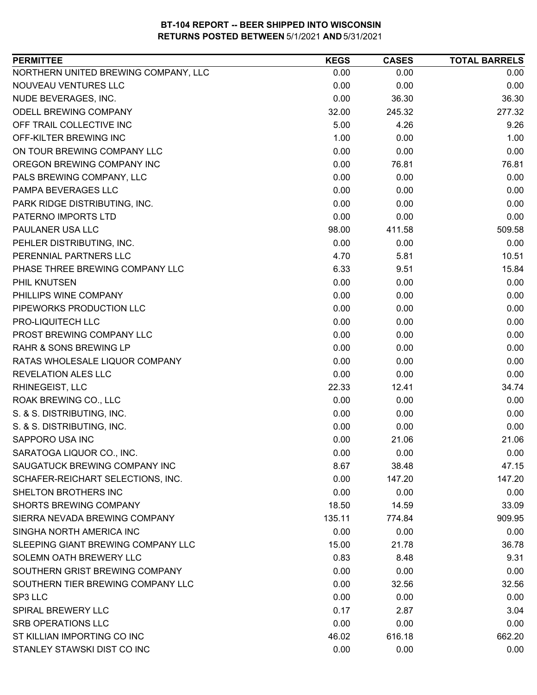| <b>PERMITTEE</b>                     | <b>KEGS</b> | <b>CASES</b> | <b>TOTAL BARRELS</b> |
|--------------------------------------|-------------|--------------|----------------------|
| NORTHERN UNITED BREWING COMPANY, LLC | 0.00        | 0.00         | 0.00                 |
| NOUVEAU VENTURES LLC                 | 0.00        | 0.00         | 0.00                 |
| NUDE BEVERAGES, INC.                 | 0.00        | 36.30        | 36.30                |
| <b>ODELL BREWING COMPANY</b>         | 32.00       | 245.32       | 277.32               |
| OFF TRAIL COLLECTIVE INC             | 5.00        | 4.26         | 9.26                 |
| OFF-KILTER BREWING INC               | 1.00        | 0.00         | 1.00                 |
| ON TOUR BREWING COMPANY LLC          | 0.00        | 0.00         | 0.00                 |
| OREGON BREWING COMPANY INC           | 0.00        | 76.81        | 76.81                |
| PALS BREWING COMPANY, LLC            | 0.00        | 0.00         | 0.00                 |
| PAMPA BEVERAGES LLC                  | 0.00        | 0.00         | 0.00                 |
| PARK RIDGE DISTRIBUTING, INC.        | 0.00        | 0.00         | 0.00                 |
| PATERNO IMPORTS LTD                  | 0.00        | 0.00         | 0.00                 |
| PAULANER USA LLC                     | 98.00       | 411.58       | 509.58               |
| PEHLER DISTRIBUTING, INC.            | 0.00        | 0.00         | 0.00                 |
| PERENNIAL PARTNERS LLC               | 4.70        | 5.81         | 10.51                |
| PHASE THREE BREWING COMPANY LLC      | 6.33        | 9.51         | 15.84                |
| <b>PHIL KNUTSEN</b>                  | 0.00        | 0.00         | 0.00                 |
| PHILLIPS WINE COMPANY                | 0.00        | 0.00         | 0.00                 |
| PIPEWORKS PRODUCTION LLC             | 0.00        | 0.00         | 0.00                 |
| PRO-LIQUITECH LLC                    | 0.00        | 0.00         | 0.00                 |
| PROST BREWING COMPANY LLC            | 0.00        | 0.00         | 0.00                 |
| RAHR & SONS BREWING LP               | 0.00        | 0.00         | 0.00                 |
| RATAS WHOLESALE LIQUOR COMPANY       | 0.00        | 0.00         | 0.00                 |
| <b>REVELATION ALES LLC</b>           | 0.00        | 0.00         | 0.00                 |
| RHINEGEIST, LLC                      | 22.33       | 12.41        | 34.74                |
| ROAK BREWING CO., LLC                | 0.00        | 0.00         | 0.00                 |
| S. & S. DISTRIBUTING, INC.           | 0.00        | 0.00         | 0.00                 |
| S. & S. DISTRIBUTING, INC.           | 0.00        | 0.00         | 0.00                 |
| <b>SAPPORO USA INC</b>               | 0.00        | 21.06        | 21.06                |
| SARATOGA LIQUOR CO., INC.            | 0.00        | 0.00         | 0.00                 |
| SAUGATUCK BREWING COMPANY INC        | 8.67        | 38.48        | 47.15                |
| SCHAFER-REICHART SELECTIONS, INC.    | 0.00        | 147.20       | 147.20               |
| SHELTON BROTHERS INC                 | 0.00        | 0.00         | 0.00                 |
| <b>SHORTS BREWING COMPANY</b>        | 18.50       | 14.59        | 33.09                |
| SIERRA NEVADA BREWING COMPANY        | 135.11      | 774.84       | 909.95               |
| SINGHA NORTH AMERICA INC             | 0.00        | 0.00         | 0.00                 |
| SLEEPING GIANT BREWING COMPANY LLC   | 15.00       | 21.78        | 36.78                |
| SOLEMN OATH BREWERY LLC              | 0.83        | 8.48         | 9.31                 |
| SOUTHERN GRIST BREWING COMPANY       | 0.00        | 0.00         | 0.00                 |
| SOUTHERN TIER BREWING COMPANY LLC    | 0.00        | 32.56        | 32.56                |
| SP3 LLC                              | 0.00        | 0.00         | 0.00                 |
| <b>SPIRAL BREWERY LLC</b>            | 0.17        | 2.87         | 3.04                 |
| <b>SRB OPERATIONS LLC</b>            | 0.00        | 0.00         | 0.00                 |
| ST KILLIAN IMPORTING CO INC          | 46.02       | 616.18       | 662.20               |
| STANLEY STAWSKI DIST CO INC          | 0.00        | 0.00         | 0.00                 |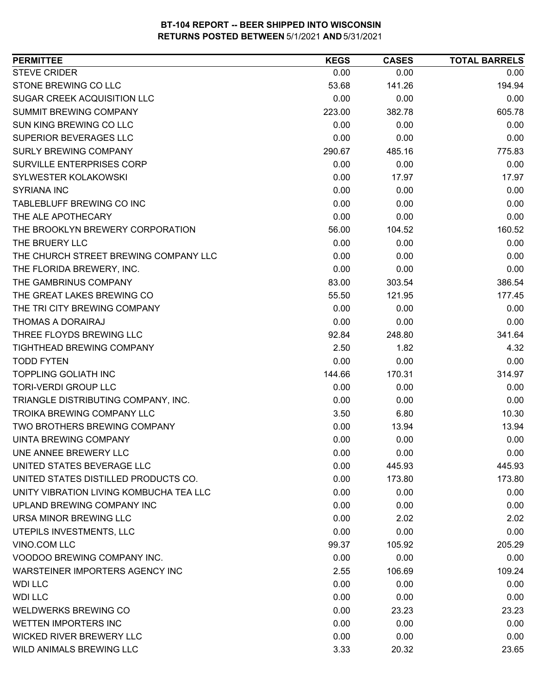| <b>PERMITTEE</b>                        | <b>KEGS</b> | <b>CASES</b> | <b>TOTAL BARRELS</b> |
|-----------------------------------------|-------------|--------------|----------------------|
| <b>STEVE CRIDER</b>                     | 0.00        | 0.00         | 0.00                 |
| STONE BREWING CO LLC                    | 53.68       | 141.26       | 194.94               |
| SUGAR CREEK ACQUISITION LLC             | 0.00        | 0.00         | 0.00                 |
| SUMMIT BREWING COMPANY                  | 223.00      | 382.78       | 605.78               |
| SUN KING BREWING CO LLC                 | 0.00        | 0.00         | 0.00                 |
| SUPERIOR BEVERAGES LLC                  | 0.00        | 0.00         | 0.00                 |
| <b>SURLY BREWING COMPANY</b>            | 290.67      | 485.16       | 775.83               |
| SURVILLE ENTERPRISES CORP               | 0.00        | 0.00         | 0.00                 |
| <b>SYLWESTER KOLAKOWSKI</b>             | 0.00        | 17.97        | 17.97                |
| <b>SYRIANA INC</b>                      | 0.00        | 0.00         | 0.00                 |
| TABLEBLUFF BREWING CO INC               | 0.00        | 0.00         | 0.00                 |
| THE ALE APOTHECARY                      | 0.00        | 0.00         | 0.00                 |
| THE BROOKLYN BREWERY CORPORATION        | 56.00       | 104.52       | 160.52               |
| THE BRUERY LLC                          | 0.00        | 0.00         | 0.00                 |
| THE CHURCH STREET BREWING COMPANY LLC   | 0.00        | 0.00         | 0.00                 |
| THE FLORIDA BREWERY, INC.               | 0.00        | 0.00         | 0.00                 |
| THE GAMBRINUS COMPANY                   | 83.00       | 303.54       | 386.54               |
| THE GREAT LAKES BREWING CO              | 55.50       | 121.95       | 177.45               |
| THE TRI CITY BREWING COMPANY            | 0.00        | 0.00         | 0.00                 |
| THOMAS A DORAIRAJ                       | 0.00        | 0.00         | 0.00                 |
| THREE FLOYDS BREWING LLC                | 92.84       | 248.80       | 341.64               |
| TIGHTHEAD BREWING COMPANY               | 2.50        | 1.82         | 4.32                 |
| <b>TODD FYTEN</b>                       | 0.00        | 0.00         | 0.00                 |
| <b>TOPPLING GOLIATH INC</b>             | 144.66      | 170.31       | 314.97               |
| <b>TORI-VERDI GROUP LLC</b>             | 0.00        | 0.00         | 0.00                 |
| TRIANGLE DISTRIBUTING COMPANY, INC.     | 0.00        | 0.00         | 0.00                 |
| <b>TROIKA BREWING COMPANY LLC</b>       | 3.50        | 6.80         | 10.30                |
| TWO BROTHERS BREWING COMPANY            | 0.00        | 13.94        | 13.94                |
| UINTA BREWING COMPANY                   | 0.00        | 0.00         | 0.00                 |
| UNE ANNEE BREWERY LLC                   | 0.00        | 0.00         | 0.00                 |
| UNITED STATES BEVERAGE LLC              | 0.00        | 445.93       | 445.93               |
| UNITED STATES DISTILLED PRODUCTS CO.    | 0.00        | 173.80       | 173.80               |
| UNITY VIBRATION LIVING KOMBUCHA TEA LLC | 0.00        | 0.00         | 0.00                 |
| UPLAND BREWING COMPANY INC              | 0.00        | 0.00         | 0.00                 |
| URSA MINOR BREWING LLC                  | 0.00        | 2.02         | 2.02                 |
| UTEPILS INVESTMENTS, LLC                | 0.00        | 0.00         | 0.00                 |
| VINO.COM LLC                            | 99.37       | 105.92       | 205.29               |
| VOODOO BREWING COMPANY INC.             | 0.00        | 0.00         | 0.00                 |
| WARSTEINER IMPORTERS AGENCY INC         | 2.55        | 106.69       | 109.24               |
| <b>WDI LLC</b>                          | 0.00        | 0.00         | 0.00                 |
| <b>WDI LLC</b>                          | 0.00        | 0.00         | 0.00                 |
| <b>WELDWERKS BREWING CO</b>             | 0.00        | 23.23        | 23.23                |
| <b>WETTEN IMPORTERS INC</b>             | 0.00        | 0.00         | 0.00                 |
| <b>WICKED RIVER BREWERY LLC</b>         | 0.00        | 0.00         | 0.00                 |
| WILD ANIMALS BREWING LLC                | 3.33        | 20.32        | 23.65                |